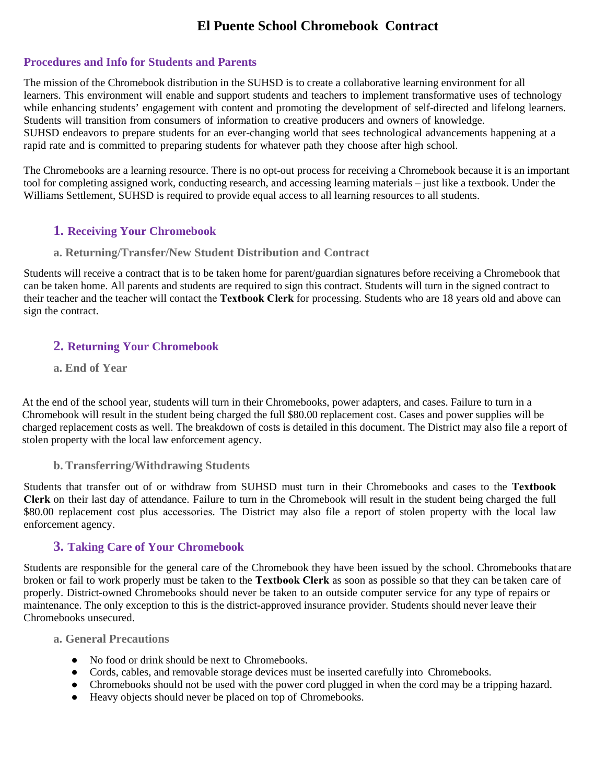# **El Puente School Chromebook Contract**

#### **Procedures and Info for Students and Parents**

The mission of the Chromebook distribution in the SUHSD is to create a collaborative learning environment for all learners. This environment will enable and support students and teachers to implement transformative uses of technology while enhancing students' engagement with content and promoting the development of self-directed and lifelong learners. Students will transition from consumers of information to creative producers and owners of knowledge. SUHSD endeavors to prepare students for an ever-changing world that sees technological advancements happening at a rapid rate and is committed to preparing students for whatever path they choose after high school.

The Chromebooks are a learning resource. There is no opt-out process for receiving a Chromebook because it is an important tool for completing assigned work, conducting research, and accessing learning materials – just like a textbook. Under the Williams Settlement, SUHSD is required to provide equal access to all learning resources to all students.

## **1. Receiving Your Chromebook**

#### **a. Returning/Transfer/New Student Distribution and Contract**

Students will receive a contract that is to be taken home for parent/guardian signatures before receiving a Chromebook that can be taken home. All parents and students are required to sign this contract. Students will turn in the signed contract to their teacher and the teacher will contact the **Textbook Clerk** for processing. Students who are 18 years old and above can sign the contract.

# **2. Returning Your Chromebook**

#### **a. End of Year**

At the end of the school year, students will turn in their Chromebooks, power adapters, and cases. Failure to turn in a Chromebook will result in the student being charged the full \$80.00 replacement cost. Cases and power supplies will be charged replacement costs as well. The breakdown of costs is detailed in this document. The District may also file a report of stolen property with the local law enforcement agency.

#### **b. Transferring/Withdrawing Students**

Students that transfer out of or withdraw from SUHSD must turn in their Chromebooks and cases to the **Textbook Clerk** on their last day of attendance. Failure to turn in the Chromebook will result in the student being charged the full \$80.00 replacement cost plus accessories. The District may also file a report of stolen property with the local law enforcement agency.

#### **3. Taking Care of Your Chromebook**

Students are responsible for the general care of the Chromebook they have been issued by the school. Chromebooks that are broken or fail to work properly must be taken to the **Textbook Clerk** as soon as possible so that they can be taken care of properly. District-owned Chromebooks should never be taken to an outside computer service for any type of repairs or maintenance. The only exception to this is the district-approved insurance provider. Students should never leave their Chromebooks unsecured.

#### **a. General Precautions**

- No food or drink should be next to Chromebooks.
- Cords, cables, and removable storage devices must be inserted carefully into Chromebooks.
- Chromebooks should not be used with the power cord plugged in when the cord may be a tripping hazard.
- Heavy objects should never be placed on top of Chromebooks.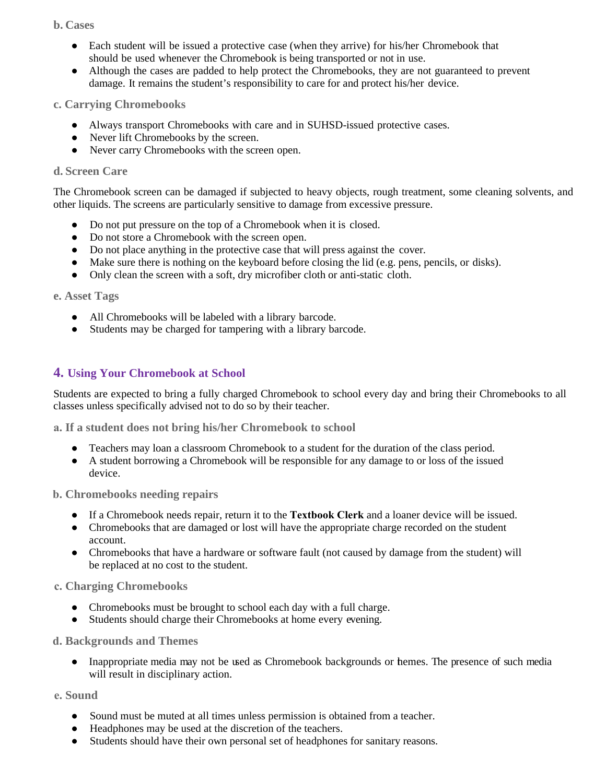#### **b. Cases**

- Each student will be issued a protective case (when they arrive) for his/her Chromebook that should be used whenever the Chromebook is being transported or not in use.
- Although the cases are padded to help protect the Chromebooks, they are not guaranteed to prevent damage. It remains the student's responsibility to care for and protect his/her device.

#### **c. Carrying Chromebooks**

- Always transport Chromebooks with care and in SUHSD-issued protective cases.
- Never lift Chromebooks by the screen.
- Never carry Chromebooks with the screen open.

#### **d. Screen Care**

The Chromebook screen can be damaged if subjected to heavy objects, rough treatment, some cleaning solvents, and other liquids. The screens are particularly sensitive to damage from excessive pressure.

- Do not put pressure on the top of a Chromebook when it is closed.
- Do not store a Chromebook with the screen open.
- Do not place anything in the protective case that will press against the cover.
- Make sure there is nothing on the keyboard before closing the lid (e.g. pens, pencils, or disks).
- Only clean the screen with a soft, dry microfiber cloth or anti-static cloth.

#### **e. Asset Tags**

- All Chromebooks will be labeled with a library barcode.
- Students may be charged for tampering with a library barcode.

## **4. Using Your Chromebook at School**

Students are expected to bring a fully charged Chromebook to school every day and bring their Chromebooks to all classes unless specifically advised not to do so by their teacher.

**a. If a student does not bring his/her Chromebook to school**

- Teachers may loan a classroom Chromebook to a student for the duration of the class period.
- A student borrowing a Chromebook will be responsible for any damage to or loss of the issued device.

#### **b. Chromebooks needing repairs**

- If a Chromebook needs repair, return it to the **Textbook Clerk** and a loaner device will be issued.
- Chromebooks that are damaged or lost will have the appropriate charge recorded on the student account.
- Chromebooks that have a hardware or software fault (not caused by damage from the student) will be replaced at no cost to the student.

#### **c. Charging Chromebooks**

- Chromebooks must be brought to school each day with a full charge.
- Students should charge their Chromebooks at home every evening.

#### **d. Backgrounds and Themes**

• Inappropriate media may not be used as Chromebook backgrounds or hemes. The presence of such media will result in disciplinary action.

#### **e. Sound**

- Sound must be muted at all times unless permission is obtained from a teacher.
- Headphones may be used at the discretion of the teachers.
- Students should have their own personal set of headphones for sanitary reasons.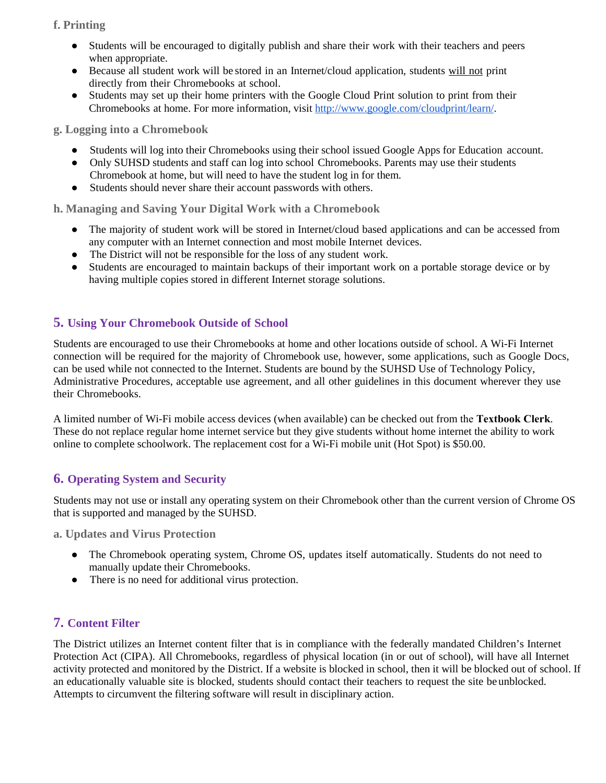# **f. Printing**

- Students will be encouraged to digitally publish and share their work with their teachers and peers when appropriate.
- Because all student work will be stored in an Internet/cloud application, students will not print directly from their Chromebooks at school.
- Students may set up their home printers with the Google Cloud Print solution to print from their Chromebooks at home. For more information, visit [http://www.google.com/cloudprint/learn/.](http://www.google.com/cloudprint/learn/)

**g. Logging into a Chromebook**

- Students will log into their Chromebooks using their school issued Google Apps for Education account.
- Only SUHSD students and staff can log into school Chromebooks. Parents may use their students Chromebook at home, but will need to have the student log in for them.
- Students should never share their account passwords with others.

**h. Managing and Saving Your Digital Work with a Chromebook**

- The majority of student work will be stored in Internet/cloud based applications and can be accessed from any computer with an Internet connection and most mobile Internet devices.
- The District will not be responsible for the loss of any student work.
- Students are encouraged to maintain backups of their important work on a portable storage device or by having multiple copies stored in different Internet storage solutions.

# **5. Using Your Chromebook Outside of School**

Students are encouraged to use their Chromebooks at home and other locations outside of school. A Wi-Fi Internet connection will be required for the majority of Chromebook use, however, some applications, such as Google Docs, can be used while not connected to the Internet. Students are bound by the SUHSD Use of Technology Policy, Administrative Procedures, acceptable use agreement, and all other guidelines in this document wherever they use their Chromebooks.

A limited number of Wi-Fi mobile access devices (when available) can be checked out from the **Textbook Clerk**. These do not replace regular home internet service but they give students without home internet the ability to work online to complete schoolwork. The replacement cost for a Wi-Fi mobile unit (Hot Spot) is \$50.00.

# **6. Operating System and Security**

Students may not use or install any operating system on their Chromebook other than the current version of Chrome OS that is supported and managed by the SUHSD.

**a. Updates and Virus Protection**

- The Chromebook operating system, Chrome OS, updates itself automatically. Students do not need to manually update their Chromebooks.
- There is no need for additional virus protection.

# **7. Content Filter**

The District utilizes an Internet content filter that is in compliance with the federally mandated Children's Internet Protection Act (CIPA). All Chromebooks, regardless of physical location (in or out of school), will have all Internet activity protected and monitored by the District. If a website is blocked in school, then it will be blocked out of school. If an educationally valuable site is blocked, students should contact their teachers to request the site be unblocked. Attempts to circumvent the filtering software will result in disciplinary action.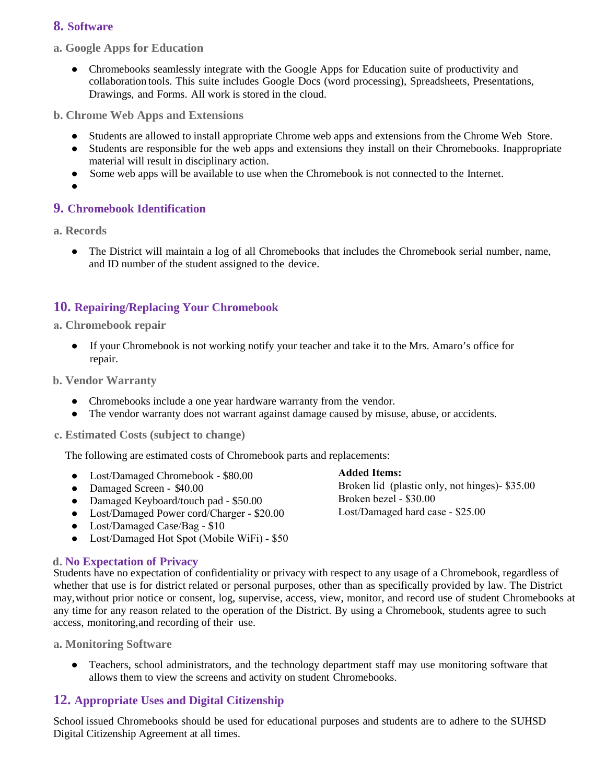# **8. Software**

**a. Google Apps for Education**

• Chromebooks seamlessly integrate with the Google Apps for Education suite of productivity and collaboration tools. This suite includes Google Docs (word processing), Spreadsheets, Presentations, Drawings, and Forms. All work is stored in the cloud.

**b. Chrome Web Apps and Extensions**

- Students are allowed to install appropriate Chrome web apps and extensions from the Chrome Web Store.
- Students are responsible for the web apps and extensions they install on their Chromebooks. Inappropriate material will result in disciplinary action.
- Some web apps will be available to use when the Chromebook is not connected to the Internet.
- ●

## **9. Chromebook Identification**

**a. Records**

• The District will maintain a log of all Chromebooks that includes the Chromebook serial number, name, and ID number of the student assigned to the device.

## **10. Repairing/Replacing Your Chromebook**

#### **a. Chromebook repair**

● If your Chromebook is not working notify your teacher and take it to the Mrs. Amaro's office for repair.

**b. Vendor Warranty**

- Chromebooks include a one year hardware warranty from the vendor.
- The vendor warranty does not warrant against damage caused by misuse, abuse, or accidents.

#### **c. Estimated Costs (subject to change)**

The following are estimated costs of Chromebook parts and replacements:

- Lost/Damaged Chromebook \$80.00
- Damaged Screen \$40.00
- Damaged Keyboard/touch pad \$50.00
- Lost/Damaged Power cord/Charger \$20.00
- Lost/Damaged Case/Bag \$10
- Lost/Damaged Hot Spot (Mobile WiFi) \$50

#### **d. No Expectation of Privacy**

Students have no expectation of confidentiality or privacy with respect to any usage of a Chromebook, regardless of whether that use is for district related or personal purposes, other than as specifically provided by law. The District may, without prior notice or consent, log, supervise, access, view, monitor, and record use of student Chromebooks at any time for any reason related to the operation of the District. By using a Chromebook, students agree to such access, monitoring, and recording of their use.

**a. Monitoring Software**

● Teachers, school administrators, and the technology department staff may use monitoring software that allows them to view the screens and activity on student Chromebooks.

# **12. Appropriate Uses and Digital Citizenship**

School issued Chromebooks should be used for educational purposes and students are to adhere to the SUHSD Digital Citizenship Agreement at all times.

**Added Items:** Broken lid (plastic only, not hinges)- \$35.00 Broken bezel - \$30.00 Lost/Damaged hard case - \$25.00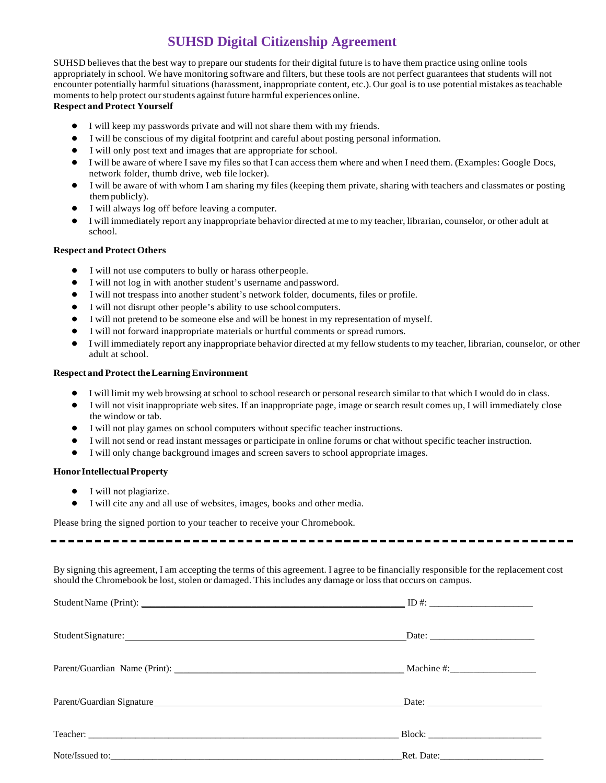# **SUHSD Digital Citizenship Agreement**

SUHSD believes that the best way to prepare our students for their digital future is to have them practice using online tools appropriately in school. We have monitoring software and filters, but these tools are not perfect guarantees that students will not encounter potentially harmful situations (harassment, inappropriate content, etc.). Our goal is to use potential mistakes asteachable moments to help protect our students against future harmful experiences online.

#### **Respect and Protect Yourself**

- I will keep my passwords private and will not share them with my friends.
- I will be conscious of my digital footprint and careful about posting personal information.
- I will only post text and images that are appropriate for school.
- I will be aware of where I save my files so that I can access them where and when I need them. (Examples: Google Docs, network folder, thumb drive, web file locker).
- I will be aware of with whom I am sharing my files (keeping them private, sharing with teachers and classmates or posting thempublicly).
- I will always log off before leaving a computer.
- I will immediately report any inappropriate behavior directed at me to my teacher, librarian, counselor, or other adult at school.

#### **Respect and Protect Others**

- I will not use computers to bully or harass otherpeople.
- I will not log in with another student's username and password.
- I will not trespass into another student's network folder, documents, files or profile.
- I will not disrupt other people's ability to use school computers.
- I will not pretend to be someone else and will be honest in my representation of myself.
- I will not forward inappropriate materials or hurtful comments or spread rumors.
- I will immediately report any inappropriate behavior directed at my fellow students to my teacher, librarian, counselor, or other adult at school.

#### **Respect and Protect the Learning Environment**

- I will limit my web browsing at school to school research or personal research similar to that which I would do in class.
- I will not visit inappropriate web sites. If an inappropriate page, image or search result comes up, I will immediately close the window or tab.
- I will not play games on school computers without specific teacher instructions.
- I will not send or read instant messages or participate in online forums or chat without specific teacher instruction.
- I will only change background images and screen savers to school appropriate images.

#### **HonorIntellectualProperty**

- I will not plagiarize.
- I will cite any and all use of websites, images, books and other media.

Please bring the signed portion to your teacher to receive your Chromebook.

By signing this agreement, I am accepting the terms of this agreement. I agree to be financially responsible for the replacement cost should the Chromebook be lost, stolen or damaged. This includes any damage or loss that occurs on campus.

| Parent/Guardian Name (Print): Machine #: Machine #: Machine #: Machine #: |  |
|---------------------------------------------------------------------------|--|
|                                                                           |  |
|                                                                           |  |
|                                                                           |  |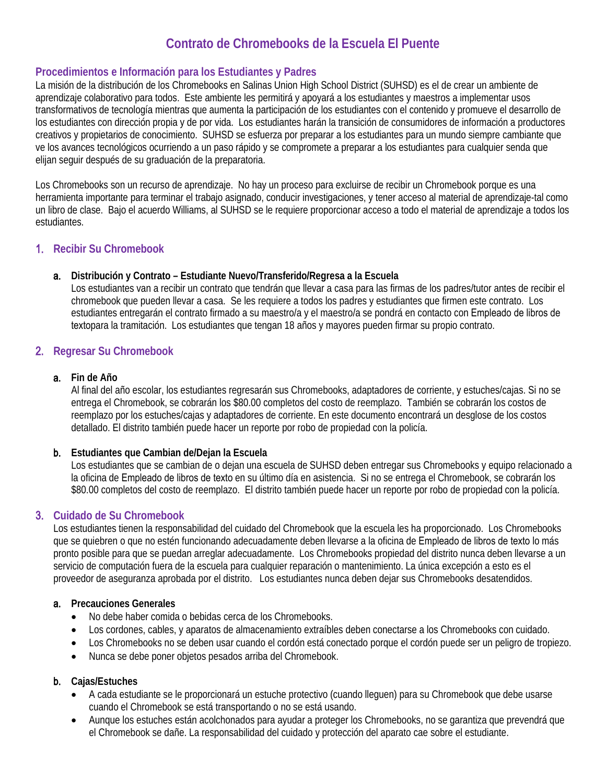# **Contrato de Chromebooks de la Escuela El Puente**

## **Procedimientos e Información para los Estudiantes y Padres**

La misión de la distribución de los Chromebooks en Salinas Union High School District (SUHSD) es el de crear un ambiente de aprendizaje colaborativo para todos. Este ambiente les permitirá y apoyará a los estudiantes y maestros a implementar usos transformativos de tecnología mientras que aumenta la participación de los estudiantes con el contenido y promueve el desarrollo de los estudiantes con dirección propia y de por vida. Los estudiantes harán la transición de consumidores de información a productores creativos y propietarios de conocimiento. SUHSD se esfuerza por preparar a los estudiantes para un mundo siempre cambiante que ve los avances tecnológicos ocurriendo a un paso rápido y se compromete a preparar a los estudiantes para cualquier senda que elijan seguir después de su graduación de la preparatoria.

Los Chromebooks son un recurso de aprendizaje. No hay un proceso para excluirse de recibir un Chromebook porque es una herramienta importante para terminar el trabajo asignado, conducir investigaciones, y tener acceso al material de aprendizaje-tal como un libro de clase. Bajo el acuerdo Williams, al SUHSD se le requiere proporcionar acceso a todo el material de aprendizaje a todos los estudiantes.

## 1. **Recibir Su Chromebook**

#### a. **Distribución y Contrato – Estudiante Nuevo/Transferido/Regresa a la Escuela**

Los estudiantes van a recibir un contrato que tendrán que llevar a casa para las firmas de los padres/tutor antes de recibir el chromebook que pueden llevar a casa. Se les requiere a todos los padres y estudiantes que firmen este contrato. Los estudiantes entregarán el contrato firmado a su maestro/a y el maestro/a se pondrá en contacto con Empleado de libros de textopara la tramitación. Los estudiantes que tengan 18 años y mayores pueden firmar su propio contrato.

# 2. **Regresar Su Chromebook**

#### a. **Fin de Año**

Al final del año escolar, los estudiantes regresarán sus Chromebooks, adaptadores de corriente, y estuches/cajas. Si no se entrega el Chromebook, se cobrarán los \$80.00 completos del costo de reemplazo. También se cobrarán los costos de reemplazo por los estuches/cajas y adaptadores de corriente. En este documento encontrará un desglose de los costos detallado. El distrito también puede hacer un reporte por robo de propiedad con la policía.

#### b. **Estudiantes que Cambian de/Dejan la Escuela**

Los estudiantes que se cambian de o dejan una escuela de SUHSD deben entregar sus Chromebooks y equipo relacionado a la oficina de Empleado de libros de texto en su último día en asistencia. Si no se entrega el Chromebook, se cobrarán los \$80.00 completos del costo de reemplazo. El distrito también puede hacer un reporte por robo de propiedad con la policía.

#### 3. **Cuidado de Su Chromebook**

Los estudiantes tienen la responsabilidad del cuidado del Chromebook que la escuela les ha proporcionado. Los Chromebooks que se quiebren o que no estén funcionando adecuadamente deben llevarse a la oficina de Empleado de libros de texto lo más pronto posible para que se puedan arreglar adecuadamente. Los Chromebooks propiedad del distrito nunca deben llevarse a un servicio de computación fuera de la escuela para cualquier reparación o mantenimiento. La única excepción a esto es el proveedor de aseguranza aprobada por el distrito. Los estudiantes nunca deben dejar sus Chromebooks desatendidos.

#### a. **Precauciones Generales**

- No debe haber comida o bebidas cerca de los Chromebooks.
- Los cordones, cables, y aparatos de almacenamiento extraíbles deben conectarse a los Chromebooks con cuidado.
- Los Chromebooks no se deben usar cuando el cordón está conectado porque el cordón puede ser un peligro de tropiezo.
- Nunca se debe poner objetos pesados arriba del Chromebook.

#### b. **Cajas/Estuches**

- A cada estudiante se le proporcionará un estuche protectivo (cuando lleguen) para su Chromebook que debe usarse cuando el Chromebook se está transportando o no se está usando.
- Aunque los estuches están acolchonados para ayudar a proteger los Chromebooks, no se garantiza que prevendrá que el Chromebook se dañe. La responsabilidad del cuidado y protección del aparato cae sobre el estudiante.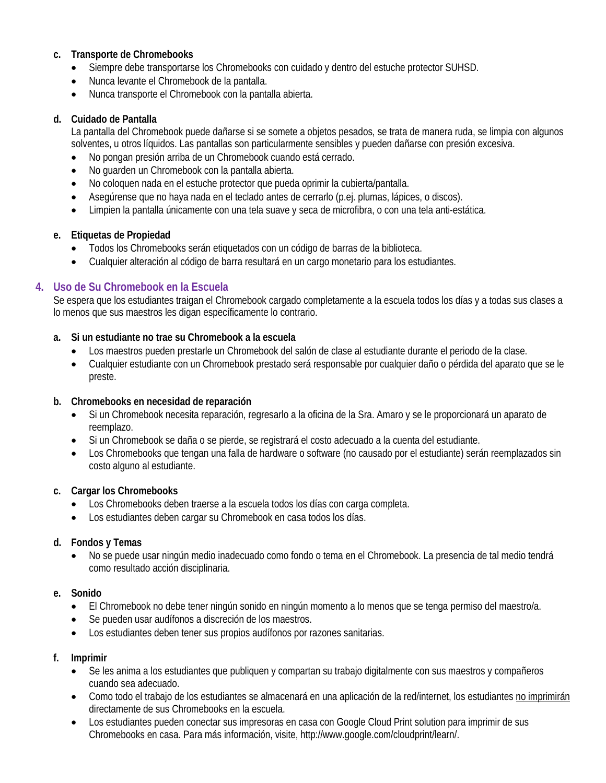## **c. Transporte de Chromebooks**

- Siempre debe transportarse los Chromebooks con cuidado y dentro del estuche protector SUHSD.
- Nunca levante el Chromebook de la pantalla.
- Nunca transporte el Chromebook con la pantalla abierta.

#### **d. Cuidado de Pantalla**

La pantalla del Chromebook puede dañarse si se somete a objetos pesados, se trata de manera ruda, se limpia con algunos solventes, u otros líquidos. Las pantallas son particularmente sensibles y pueden dañarse con presión excesiva.

- No pongan presión arriba de un Chromebook cuando está cerrado.
- No guarden un Chromebook con la pantalla abierta.
- No coloquen nada en el estuche protector que pueda oprimir la cubierta/pantalla.
- Asegúrense que no haya nada en el teclado antes de cerrarlo (p.ej. plumas, lápices, o discos).
- Limpien la pantalla únicamente con una tela suave y seca de microfibra, o con una tela anti-estática.

## **e. Etiquetas de Propiedad**

- Todos los Chromebooks serán etiquetados con un código de barras de la biblioteca.
- Cualquier alteración al código de barra resultará en un cargo monetario para los estudiantes.

# **4. Uso de Su Chromebook en la Escuela**

Se espera que los estudiantes traigan el Chromebook cargado completamente a la escuela todos los días y a todas sus clases a lo menos que sus maestros les digan específicamente lo contrario.

## **a. Si un estudiante no trae su Chromebook a la escuela**

- Los maestros pueden prestarle un Chromebook del salón de clase al estudiante durante el periodo de la clase.
- Cualquier estudiante con un Chromebook prestado será responsable por cualquier daño o pérdida del aparato que se le preste.

#### **b. Chromebooks en necesidad de reparación**

- Si un Chromebook necesita reparación, regresarlo a la oficina de la Sra. Amaro y se le proporcionará un aparato de reemplazo.
- Si un Chromebook se daña o se pierde, se registrará el costo adecuado a la cuenta del estudiante.
- Los Chromebooks que tengan una falla de hardware o software (no causado por el estudiante) serán reemplazados sin costo alguno al estudiante.

#### **c. Cargar los Chromebooks**

- Los Chromebooks deben traerse a la escuela todos los días con carga completa.
- Los estudiantes deben cargar su Chromebook en casa todos los días.

#### **d. Fondos y Temas**

• No se puede usar ningún medio inadecuado como fondo o tema en el Chromebook. La presencia de tal medio tendrá como resultado acción disciplinaria.

#### **e. Sonido**

- El Chromebook no debe tener ningún sonido en ningún momento a lo menos que se tenga permiso del maestro/a.
- Se pueden usar audífonos a discreción de los maestros.
- Los estudiantes deben tener sus propios audífonos por razones sanitarias.

#### **f. Imprimir**

- Se les anima a los estudiantes que publiquen y compartan su trabajo digitalmente con sus maestros y compañeros cuando sea adecuado.
- Como todo el trabajo de los estudiantes se almacenará en una aplicación de la red/internet, los estudiantes no imprimirán directamente de sus Chromebooks en la escuela.
- Los estudiantes pueden conectar sus impresoras en casa con Google Cloud Print solution para imprimir de sus Chromebooks en casa. Para más información, visite, http://www.google.com/cloudprint/learn/.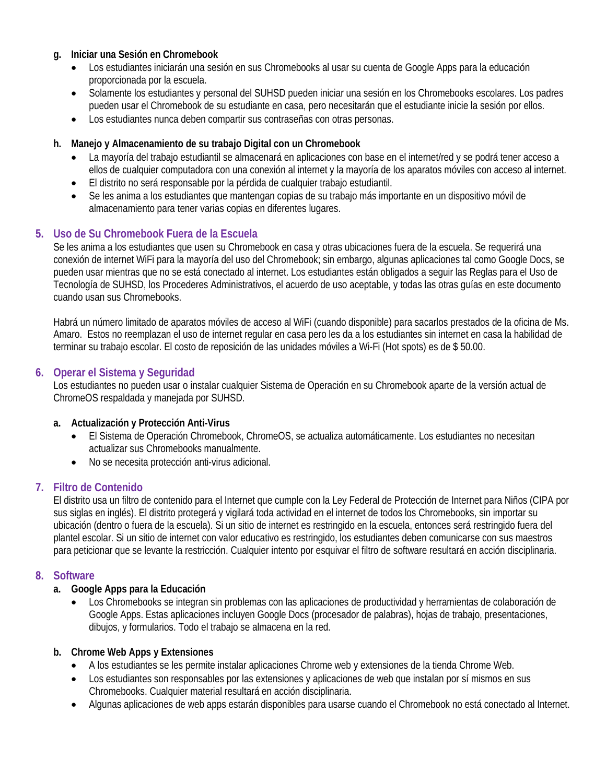#### **g. Iniciar una Sesión en Chromebook**

- Los estudiantes iniciarán una sesión en sus Chromebooks al usar su cuenta de Google Apps para la educación proporcionada por la escuela.
- Solamente los estudiantes y personal del SUHSD pueden iniciar una sesión en los Chromebooks escolares. Los padres pueden usar el Chromebook de su estudiante en casa, pero necesitarán que el estudiante inicie la sesión por ellos.
- Los estudiantes nunca deben compartir sus contraseñas con otras personas.

#### **h. Manejo y Almacenamiento de su trabajo Digital con un Chromebook**

- La mayoría del trabajo estudiantil se almacenará en aplicaciones con base en el internet/red y se podrá tener acceso a ellos de cualquier computadora con una conexión al internet y la mayoría de los aparatos móviles con acceso al internet.
- El distrito no será responsable por la pérdida de cualquier trabajo estudiantil.
- Se les anima a los estudiantes que mantengan copias de su trabajo más importante en un dispositivo móvil de almacenamiento para tener varias copias en diferentes lugares.

## **5. Uso de Su Chromebook Fuera de la Escuela**

Se les anima a los estudiantes que usen su Chromebook en casa y otras ubicaciones fuera de la escuela. Se requerirá una conexión de internet WiFi para la mayoría del uso del Chromebook; sin embargo, algunas aplicaciones tal como Google Docs, se pueden usar mientras que no se está conectado al internet. Los estudiantes están obligados a seguir las Reglas para el Uso de Tecnología de SUHSD, los Procederes Administrativos, el acuerdo de uso aceptable, y todas las otras guías en este documento cuando usan sus Chromebooks.

Habrá un número limitado de aparatos móviles de acceso al WiFi (cuando disponible) para sacarlos prestados de la oficina de Ms. Amaro. Estos no reemplazan el uso de internet regular en casa pero les da a los estudiantes sin internet en casa la habilidad de terminar su trabajo escolar. El costo de reposición de las unidades móviles a Wi-Fi (Hot spots) es de \$ 50.00.

#### **6. Operar el Sistema y Seguridad**

Los estudiantes no pueden usar o instalar cualquier Sistema de Operación en su Chromebook aparte de la versión actual de ChromeOS respaldada y manejada por SUHSD.

#### **a. Actualización y Protección Anti-Virus**

- El Sistema de Operación Chromebook, ChromeOS, se actualiza automáticamente. Los estudiantes no necesitan actualizar sus Chromebooks manualmente.
- No se necesita protección anti-virus adicional.

#### **7. Filtro de Contenido**

El distrito usa un filtro de contenido para el Internet que cumple con la Ley Federal de Protección de Internet para Niños (CIPA por sus siglas en inglés). El distrito protegerá y vigilará toda actividad en el internet de todos los Chromebooks, sin importar su ubicación (dentro o fuera de la escuela). Si un sitio de internet es restringido en la escuela, entonces será restringido fuera del plantel escolar. Si un sitio de internet con valor educativo es restringido, los estudiantes deben comunicarse con sus maestros para peticionar que se levante la restricción. Cualquier intento por esquivar el filtro de software resultará en acción disciplinaria.

#### **8. Software**

#### **a. Google Apps para la Educación**

• Los Chromebooks se integran sin problemas con las aplicaciones de productividad y herramientas de colaboración de Google Apps. Estas aplicaciones incluyen Google Docs (procesador de palabras), hojas de trabajo, presentaciones, dibujos, y formularios. Todo el trabajo se almacena en la red.

#### **b. Chrome Web Apps y Extensiones**

- A los estudiantes se les permite instalar aplicaciones Chrome web y extensiones de la tienda Chrome Web.
- Los estudiantes son responsables por las extensiones y aplicaciones de web que instalan por sí mismos en sus Chromebooks. Cualquier material resultará en acción disciplinaria.
- Algunas aplicaciones de web apps estarán disponibles para usarse cuando el Chromebook no está conectado al Internet.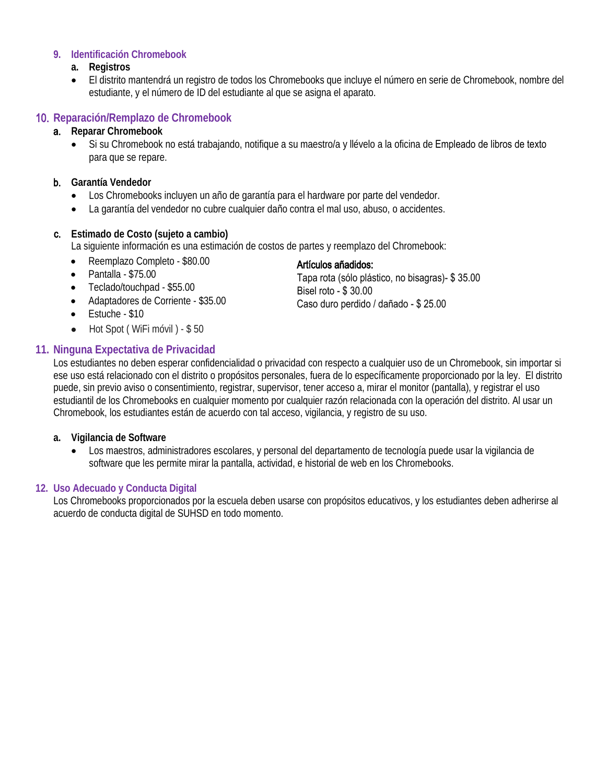#### **9. Identificación Chromebook**

#### **a. Registros**

• El distrito mantendrá un registro de todos los Chromebooks que incluye el número en serie de Chromebook, nombre del estudiante, y el número de ID del estudiante al que se asigna el aparato.

# 10. **Reparación/Remplazo de Chromebook**

## a. **Reparar Chromebook**

Si su Chromebook no está trabajando, notifique a su maestro/a y llévelo a la oficina de Empleado de libros de texto para que se repare.

## b. **Garantía Vendedor**

- Los Chromebooks incluyen un año de garantía para el hardware por parte del vendedor.
- La garantía del vendedor no cubre cualquier daño contra el mal uso, abuso, o accidentes.

# c. **Estimado de Costo (sujeto a cambio)**

La siguiente información es una estimación de costos de partes y reemplazo del Chromebook:

- Reemplazo Completo \$80.00
- Pantalla \$75.00
- Teclado/touchpad \$55.00
- Adaptadores de Corriente \$35.00
- Estuche \$10
- Hot Spot (WiFi móvil) \$50

# **11. Ninguna Expectativa de Privacidad**

## Artículos añadidos:

Tapa rota (sólo plástico, no bisagras)- \$ 35.00 Bisel roto - \$ 30.00 Caso duro perdido / dañado - \$ 25.00

Los estudiantes no deben esperar confidencialidad o privacidad con respecto a cualquier uso de un Chromebook, sin importar si ese uso está relacionado con el distrito o propósitos personales, fuera de lo específicamente proporcionado por la ley. El distrito puede, sin previo aviso o consentimiento, registrar, supervisor, tener acceso a, mirar el monitor (pantalla), y registrar el uso estudiantil de los Chromebooks en cualquier momento por cualquier razón relacionada con la operación del distrito. Al usar un Chromebook, los estudiantes están de acuerdo con tal acceso, vigilancia, y registro de su uso.

#### **a. Vigilancia de Software**

• Los maestros, administradores escolares, y personal del departamento de tecnología puede usar la vigilancia de software que les permite mirar la pantalla, actividad, e historial de web en los Chromebooks.

#### **12. Uso Adecuado y Conducta Digital**

Los Chromebooks proporcionados por la escuela deben usarse con propósitos educativos, y los estudiantes deben adherirse al acuerdo de conducta digital de SUHSD en todo momento.